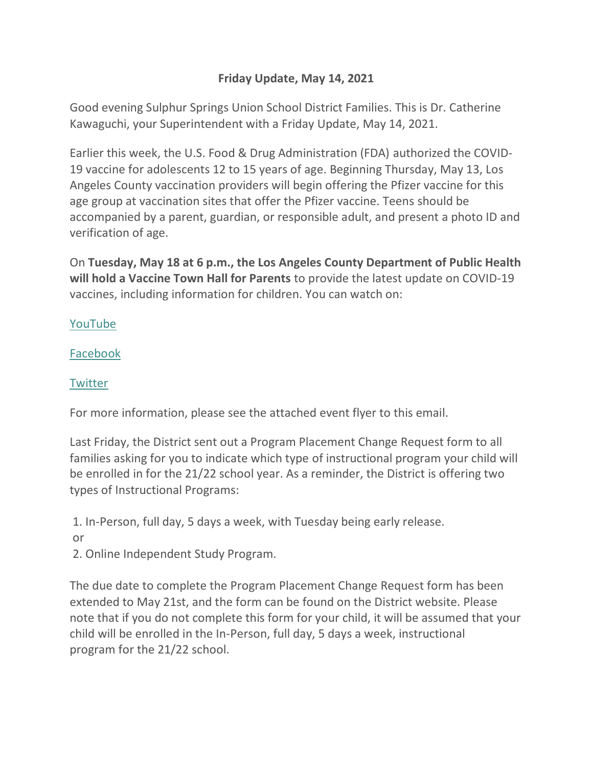## **Friday Update, May 14, 2021**

Good evening Sulphur Springs Union School District Families. This is Dr. Catherine Kawaguchi, your Superintendent with a Friday Update, May 14, 2021.

Earlier this week, the U.S. Food & Drug Administration (FDA) authorized the COVID-19 vaccine for adolescents 12 to 15 years of age. Beginning Thursday, May 13, Los Angeles County vaccination providers will begin offering the Pfizer vaccine for this age group at vaccination sites that offer the Pfizer vaccine. Teens should be accompanied by a parent, guardian, or responsible adult, and present a photo ID and verification of age.

On **Tuesday, May 18 at 6 p.m., the Los Angeles County Department of Public Health will hold a Vaccine Town Hall for Parents** to provide the latest update on COVID-19 vaccines, including information for children. You can watch on:

[YouTube](http://r20.rs6.net/tn.jsp?f=001u2I8Pw6P640qLpK-bIjhV0QmbJJiOHtEzsQf9W2YPY9Vhu7IkMed9Z5jjMo9JaO8fANSGydUi6_8doqt8b0jvut0oizDTMnQny0tx2zxD-T-3YYxunsuIqKFA2dAAPzU5L_NcPU3KopHAmcfG41xc4-1ogRCdapT&c=FevR7Vp3hXmfJjEHC_Xg_sn8kc2dDTolfhZh1DOAAmTgpaxxVumYmA==&ch=gO7cj1ocmYWUWQUOY7ff-zP6dZtAb1FGS3ePoEtU4EwJiOyy8OvZDw==)

[Facebook](http://r20.rs6.net/tn.jsp?f=001u2I8Pw6P640qLpK-bIjhV0QmbJJiOHtEzsQf9W2YPY9Vhu7IkMed9aIdzMv_3mnAdypVpabPL-Uvz3y411EubgTNrAyY-2S38FKPYjesEvfLioq1MTgJiwFojY3x_ck8m-G7uZA0peKw2S-mFeP5wx1MMuxgFCdZv8CR2WOC3hY=&c=FevR7Vp3hXmfJjEHC_Xg_sn8kc2dDTolfhZh1DOAAmTgpaxxVumYmA==&ch=gO7cj1ocmYWUWQUOY7ff-zP6dZtAb1FGS3ePoEtU4EwJiOyy8OvZDw==)

## **[Twitter](http://r20.rs6.net/tn.jsp?f=001u2I8Pw6P640qLpK-bIjhV0QmbJJiOHtEzsQf9W2YPY9Vhu7IkMed9Z5jjMo9JaO8J8jiOTSoWVsmZQDzymp9cgXsVgbyWLxncrN1bR_yQ_iaVaA8kYFrwXvCKzSTmFpzD3dJtCm2gY3NRmkdiXEFENnIZEOydf_b&c=FevR7Vp3hXmfJjEHC_Xg_sn8kc2dDTolfhZh1DOAAmTgpaxxVumYmA==&ch=gO7cj1ocmYWUWQUOY7ff-zP6dZtAb1FGS3ePoEtU4EwJiOyy8OvZDw==)**

For more information, please see the attached event flyer to this email.

Last Friday, the District sent out a Program Placement Change Request form to all families asking for you to indicate which type of instructional program your child will be enrolled in for the 21/22 school year. As a reminder, the District is offering two types of Instructional Programs:

1. In-Person, full day, 5 days a week, with Tuesday being early release.

or

2. Online Independent Study Program.

The due date to complete the Program Placement Change Request form has been extended to May 21st, and the form can be found on the District website. Please note that if you do not complete this form for your child, it will be assumed that your child will be enrolled in the In-Person, full day, 5 days a week, instructional program for the 21/22 school.